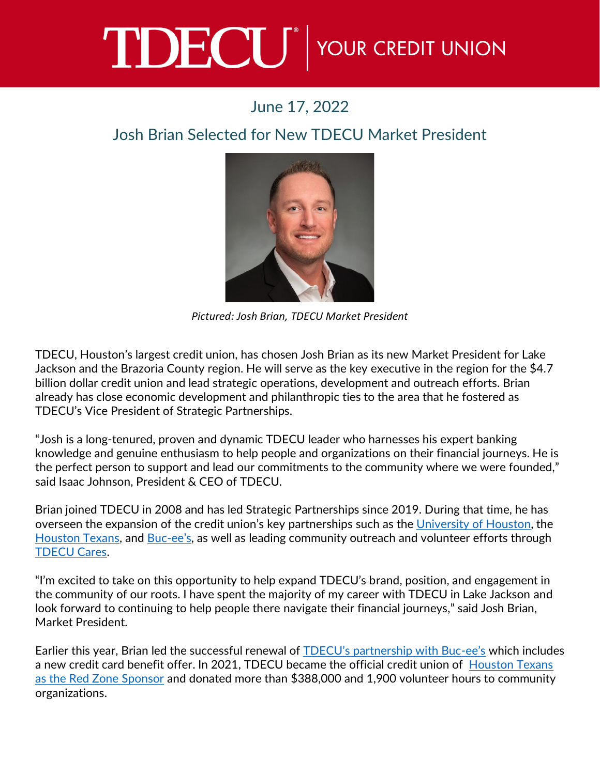## TDECU<sup>®</sup> YOUR CREDIT UNION

## June 17, 2022

## Josh Brian Selected for New TDECU Market President



*Pictured: Josh Brian, TDECU Market President*

TDECU, Houston's largest credit union, has chosen Josh Brian as its new Market President for Lake Jackson and the Brazoria County region. He will serve as the key executive in the region for the \$4.7 billion dollar credit union and lead strategic operations, development and outreach efforts. Brian already has close economic development and philanthropic ties to the area that he fostered as TDECU's Vice President of Strategic Partnerships.

"Josh is a long-tenured, proven and dynamic TDECU leader who harnesses his expert banking knowledge and genuine enthusiasm to help people and organizations on their financial journeys. He is the perfect person to support and lead our commitments to the community where we were founded," said Isaac Johnson, President & CEO of TDECU.

Brian joined TDECU in 2008 and has led Strategic Partnerships since 2019. During that time, he has overseen the expansion of the credit union's key partnerships such as the [University of Houston,](https://www.tdecu.org/tdecu-stadium/) the [Houston Texans,](https://www.tdecu.org/texans/) and [Buc-](https://www.tdecu.org/loans-and-credit-cards/credit-cards/buc-ee-s-mastercard/)ee's, as well as leading community outreach and volunteer efforts through [TDECU Cares.](https://www.tdecu.org/community-involvement/)

"I'm excited to take on this opportunity to help expand TDECU's brand, position, and engagement in the community of our roots. I have spent the majority of my career with TDECU in Lake Jackson and look forward to continuing to help people there navigate their financial journeys," said Josh Brian, Market President.

Earlier this year, Brian led the successful renewal of TDECU's [partnership with Buc-](https://www.tdecu.org/images/press-room/press-releases/2022/tdecu_introduces_new_bucees_platinum_mastercard.pdf)ee's which includes a new credit card benefit offer. In 2021, TDECU became the official credit union of [Houston Texans](https://www.tdecu.org/texans/)  [as the Red Zone Sponsor](https://www.tdecu.org/texans/) and donated more than \$388,000 and 1,900 volunteer hours to community organizations.